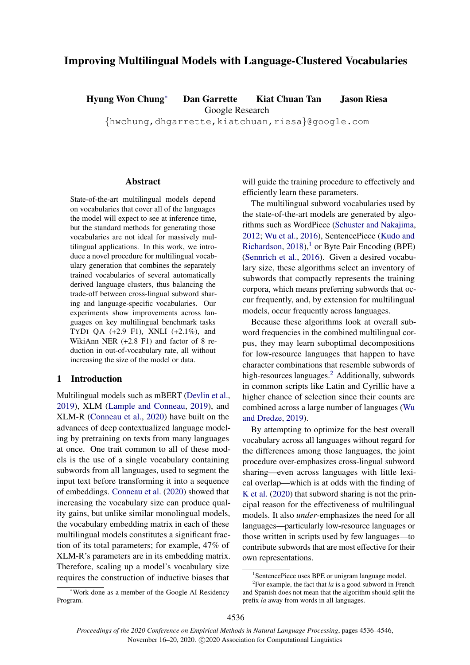# Improving Multilingual Models with Language-Clustered Vocabularies

Hyung Won Chung<sup>∗</sup> Dan Garrette Kiat Chuan Tan Jason Riesa

Google Research

{hwchung,dhgarrette,kiatchuan,riesa}@google.com

# **Abstract**

State-of-the-art multilingual models depend on vocabularies that cover all of the languages the model will expect to see at inference time, but the standard methods for generating those vocabularies are not ideal for massively multilingual applications. In this work, we introduce a novel procedure for multilingual vocabulary generation that combines the separately trained vocabularies of several automatically derived language clusters, thus balancing the trade-off between cross-lingual subword sharing and language-specific vocabularies. Our experiments show improvements across languages on key multilingual benchmark tasks TYDI QA (+2.9 F1), XNLI (+2.1%), and WikiAnn NER (+2.8 F1) and factor of 8 reduction in out-of-vocabulary rate, all without increasing the size of the model or data.

#### <span id="page-0-2"></span>1 Introduction

Multilingual models such as mBERT [\(Devlin et al.,](#page-5-0) [2019\)](#page-5-0), XLM [\(Lample and Conneau,](#page-5-1) [2019\)](#page-5-1), and XLM-R [\(Conneau et al.,](#page-5-2) [2020\)](#page-5-2) have built on the advances of deep contextualized language modeling by pretraining on texts from many languages at once. One trait common to all of these models is the use of a single vocabulary containing subwords from all languages, used to segment the input text before transforming it into a sequence of embeddings. [Conneau et al.](#page-5-2) [\(2020\)](#page-5-2) showed that increasing the vocabulary size can produce quality gains, but unlike similar monolingual models, the vocabulary embedding matrix in each of these multilingual models constitutes a significant fraction of its total parameters; for example, 47% of XLM-R's parameters are in its embedding matrix. Therefore, scaling up a model's vocabulary size requires the construction of inductive biases that

<sup>∗</sup>Work done as a member of the Google AI Residency Program.

will guide the training procedure to effectively and efficiently learn these parameters.

The multilingual subword vocabularies used by the state-of-the-art models are generated by algorithms such as WordPiece [\(Schuster and Nakajima,](#page-6-0) [2012;](#page-6-0) [Wu et al.,](#page-6-1) [2016\)](#page-6-1), SentencePiece [\(Kudo and](#page-5-3) [Richardson,](#page-5-3) [2018\)](#page-5-3), $\frac{1}{1}$  $\frac{1}{1}$  $\frac{1}{1}$  or Byte Pair Encoding (BPE) [\(Sennrich et al.,](#page-6-2) [2016\)](#page-6-2). Given a desired vocabulary size, these algorithms select an inventory of subwords that compactly represents the training corpora, which means preferring subwords that occur frequently, and, by extension for multilingual models, occur frequently across languages.

Because these algorithms look at overall subword frequencies in the combined multilingual corpus, they may learn suboptimal decompositions for low-resource languages that happen to have character combinations that resemble subwords of high-resources languages.<sup>[2](#page-0-1)</sup> Additionally, subwords in common scripts like Latin and Cyrillic have a higher chance of selection since their counts are combined across a large number of languages [\(Wu](#page-6-3) [and Dredze,](#page-6-3) [2019\)](#page-6-3).

By attempting to optimize for the best overall vocabulary across all languages without regard for the differences among those languages, the joint procedure over-emphasizes cross-lingual subword sharing—even across languages with little lexical overlap—which is at odds with the finding of [K et al.](#page-5-4) [\(2020\)](#page-5-4) that subword sharing is not the principal reason for the effectiveness of multilingual models. It also *under*-emphasizes the need for all languages—particularly low-resource languages or those written in scripts used by few languages—to contribute subwords that are most effective for their own representations.

<span id="page-0-1"></span><span id="page-0-0"></span><sup>&</sup>lt;sup>1</sup>SentencePiece uses BPE or unigram language model.

<sup>&</sup>lt;sup>2</sup>For example, the fact that  $la$  is a good subword in French and Spanish does not mean that the algorithm should split the prefix *la* away from words in all languages.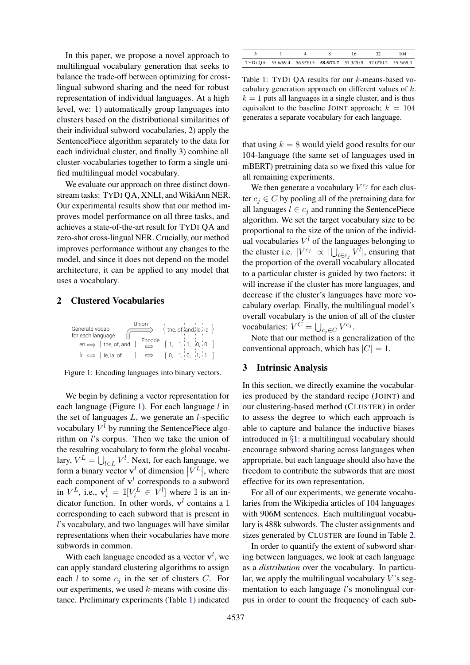In this paper, we propose a novel approach to multilingual vocabulary generation that seeks to balance the trade-off between optimizing for crosslingual subword sharing and the need for robust representation of individual languages. At a high level, we: 1) automatically group languages into clusters based on the distributional similarities of their individual subword vocabularies, 2) apply the SentencePiece algorithm separately to the data for each individual cluster, and finally 3) combine all cluster-vocabularies together to form a single unified multilingual model vocabulary.

We evaluate our approach on three distinct downstream tasks: TYDI QA, XNLI, and WikiAnn NER. Our experimental results show that our method improves model performance on all three tasks, and achieves a state-of-the-art result for TYDI QA and zero-shot cross-lingual NER. Crucially, our method improves performance without any changes to the model, and since it does not depend on the model architecture, it can be applied to any model that uses a vocabulary.

# 2 Clustered Vocabularies

<span id="page-1-0"></span>

Figure 1: Encoding languages into binary vectors.

We begin by defining a vector representation for each language (Figure [1\)](#page-1-0). For each language  $l$  in the set of languages  $L$ , we generate an  $l$ -specific vocabulary  $V^l$  by running the SentencePiece algorithm on l's corpus. Then we take the union of the resulting vocabulary to form the global vocabulary,  $V^L = \bigcup_{l \in L} V^l$ . Next, for each language, we form a binary vector  $\mathbf{v}^l$  of dimension  $|V^L|$ , where each component of  $v<sup>l</sup>$  corresponds to a subword in  $V^L$ , i.e.,  $\mathbf{v}_i^l = \mathbb{I}[V_i^L \in V^l]$  where  $\mathbb{I}$  is an indicator function. In other words,  $v<sup>l</sup>$  contains a 1 corresponding to each subword that is present in l's vocabulary, and two languages will have similar representations when their vocabularies have more subwords in common.

With each language encoded as a vector  $\mathbf{v}^l$ , we can apply standard clustering algorithms to assign each  $l$  to some  $c_j$  in the set of clusters  $C$ . For our experiments, we used  $k$ -means with cosine distance. Preliminary experiments (Table [1\)](#page-1-1) indicated

<span id="page-1-1"></span>

|                                                                     |  |  | 104 |
|---------------------------------------------------------------------|--|--|-----|
| TYDI QA 55.6/69.4 56.9/70.5 58.5/71.7 57.3/70.9 57.0/70.2 55.5/69.3 |  |  |     |

Table 1: TYDI QA results for our k-means-based vocabulary generation approach on different values of k.  $k = 1$  puts all languages in a single cluster, and is thus equivalent to the baseline JOINT approach;  $k = 104$ generates a separate vocabulary for each language.

that using  $k = 8$  would yield good results for our 104-language (the same set of languages used in mBERT) pretraining data so we fixed this value for all remaining experiments.

We then generate a vocabulary  $V^{c_j}$  for each cluster  $c_i \in C$  by pooling all of the pretraining data for all languages  $l \in c_i$  and running the SentencePiece algorithm. We set the target vocabulary size to be proportional to the size of the union of the individual vocabularies  $V^l$  of the languages belonging to the cluster i.e.  $|V^{c_j}| \propto |\bigcup_{l \in c_j} V^l|$ , ensuring that the proportion of the overall vocabulary allocated to a particular cluster is guided by two factors: it will increase if the cluster has more languages, and decrease if the cluster's languages have more vocabulary overlap. Finally, the multilingual model's overall vocabulary is the union of all of the cluster vocabularies:  $V^C = \bigcup_{c_j \in C} V^{c_j}$ .

Note that our method is a generalization of the conventional approach, which has  $|C| = 1$ .

# 3 Intrinsic Analysis

In this section, we directly examine the vocabularies produced by the standard recipe (JOINT) and our clustering-based method (CLUSTER) in order to assess the degree to which each approach is able to capture and balance the inductive biases introduced in §[1:](#page-0-2) a multilingual vocabulary should encourage subword sharing across languages when appropriate, but each language should also have the freedom to contribute the subwords that are most effective for its own representation.

For all of our experiments, we generate vocabularies from the Wikipedia articles of 104 languages with 906M sentences. Each multilingual vocabulary is 488k subwords. The cluster assignments and sizes generated by CLUSTER are found in Table [2.](#page-2-0)

In order to quantify the extent of subword sharing between languages, we look at each language as a *distribution* over the vocabulary. In particular, we apply the multilingual vocabulary  $V$ 's segmentation to each language l's monolingual corpus in order to count the frequency of each sub-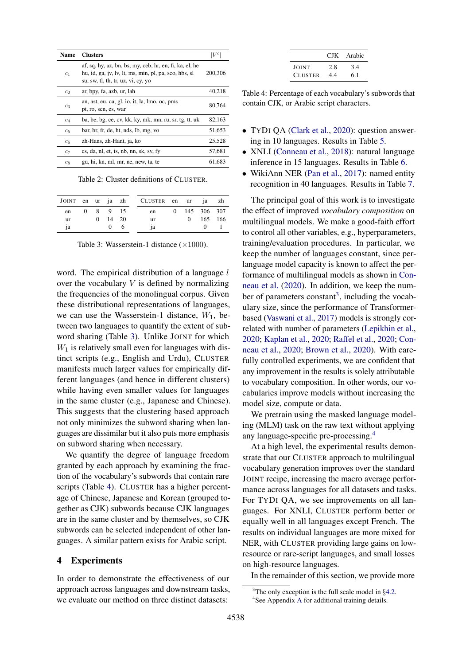<span id="page-2-0"></span>

| Name           | <b>Clusters</b>                                                                                                                                        |         |
|----------------|--------------------------------------------------------------------------------------------------------------------------------------------------------|---------|
| c <sub>1</sub> | af, sq, hy, az, bn, bs, my, ceb, hr, en, fi, ka, el, he<br>hu, id, ga, jv, lv, lt, ms, min, pl, pa, sco, hbs, sl<br>su, sw, tl, th, tr, uz, vi, cy, yo | 200,306 |
| c <sub>2</sub> | ar, bpy, fa, azb, ur, lah                                                                                                                              | 40,218  |
| $c_3$          | an, ast, eu, ca, gl, io, it, la, lmo, oc, pms<br>pt, ro, scn, es, war                                                                                  | 80.764  |
| $c_4$          | ba, be, bg, ce, cv, kk, ky, mk, mn, ru, sr, tg, tt, uk                                                                                                 | 82,163  |
| $c_5$          | bar, br, fr, de, ht, nds, lb, mg, vo                                                                                                                   | 51,653  |
| $c_6$          | zh-Hans, zh-Hant, ja, ko                                                                                                                               | 25,528  |
| $c_7$          | cs, da, nl, et, is, nb, nn, sk, sv, fy                                                                                                                 | 57.681  |
| $c_8$          | gu, hi, kn, ml, mr, ne, new, ta, te                                                                                                                    | 61.683  |

Table 2: Cluster definitions of CLUSTER.

<span id="page-2-1"></span>

|           |  |                | JOINT en ur ja zh CLUSTER en ur ja zh |  |               |  |
|-----------|--|----------------|---------------------------------------|--|---------------|--|
| en        |  | 0 8 9 15       | en                                    |  | 0 145 306 307 |  |
| <b>ur</b> |  | $0 \t14 \t20$  | ur                                    |  | 0 165 166     |  |
| ia        |  | $\overline{0}$ | 1a                                    |  |               |  |

Table 3: Wasserstein-1 distance  $(\times 1000)$ .

word. The empirical distribution of a language  $l$ over the vocabulary  $V$  is defined by normalizing the frequencies of the monolingual corpus. Given these distributional representations of languages, we can use the Wasserstein-1 distance,  $W_1$ , between two languages to quantify the extent of subword sharing (Table [3\)](#page-2-1). Unlike JOINT for which  $W_1$  is relatively small even for languages with distinct scripts (e.g., English and Urdu), CLUSTER manifests much larger values for empirically different languages (and hence in different clusters) while having even smaller values for languages in the same cluster (e.g., Japanese and Chinese). This suggests that the clustering based approach not only minimizes the subword sharing when languages are dissimilar but it also puts more emphasis on subword sharing when necessary.

We quantify the degree of language freedom granted by each approach by examining the fraction of the vocabulary's subwords that contain rare scripts (Table [4\)](#page-2-2). CLUSTER has a higher percentage of Chinese, Japanese and Korean (grouped together as CJK) subwords because CJK languages are in the same cluster and by themselves, so CJK subwords can be selected independent of other languages. A similar pattern exists for Arabic script.

#### 4 Experiments

In order to demonstrate the effectiveness of our approach across languages and downstream tasks, we evaluate our method on three distinct datasets:

|                |     | CJK Arabic |
|----------------|-----|------------|
| JOINT          | 2.8 | 3.4        |
| <b>CLUSTER</b> | 4.4 | 6.1        |

<span id="page-2-2"></span>Table 4: Percentage of each vocabulary's subwords that contain CJK, or Arabic script characters.

- TYDI QA [\(Clark et al.,](#page-5-5) [2020\)](#page-5-5): question answering in 10 languages. Results in Table [5.](#page-3-0)
- XNLI [\(Conneau et al.,](#page-5-6) [2018\)](#page-5-6): natural language inference in 15 languages. Results in Table [6.](#page-3-1)
- WikiAnn NER [\(Pan et al.,](#page-5-7) [2017\)](#page-5-7): named entity recognition in 40 languages. Results in Table [7.](#page-4-0)

The principal goal of this work is to investigate the effect of improved *vocabulary composition* on multilingual models. We make a good-faith effort to control all other variables, e.g., hyperparameters, training/evaluation procedures. In particular, we keep the number of languages constant, since perlanguage model capacity is known to affect the performance of multilingual models as shown in [Con](#page-5-2)[neau et al.](#page-5-2) [\(2020\)](#page-5-2). In addition, we keep the num-ber of parameters constant<sup>[3](#page-2-3)</sup>, including the vocabulary size, since the performance of Transformerbased [\(Vaswani et al.,](#page-6-4) [2017\)](#page-6-4) models is strongly correlated with number of parameters [\(Lepikhin et al.,](#page-5-8) [2020;](#page-5-8) [Kaplan et al.,](#page-5-9) [2020;](#page-5-9) [Raffel et al.,](#page-5-10) [2020;](#page-5-10) [Con](#page-5-2)[neau et al.,](#page-5-2) [2020;](#page-5-2) [Brown et al.,](#page-5-11) [2020\)](#page-5-11). With carefully controlled experiments, we are confident that any improvement in the results is solely attributable to vocabulary composition. In other words, our vocabularies improve models without increasing the model size, compute or data.

We pretrain using the masked language modeling (MLM) task on the raw text without applying any language-specific pre-processing.[4](#page-2-4)

At a high level, the experimental results demonstrate that our CLUSTER approach to multilingual vocabulary generation improves over the standard JOINT recipe, increasing the macro average performance across languages for all datasets and tasks. For TYDI QA, we see improvements on all languages. For XNLI, CLUSTER perform better or equally well in all languages except French. The results on individual languages are more mixed for NER, with CLUSTER providing large gains on lowresource or rare-script languages, and small losses on high-resource languages.

In the remainder of this section, we provide more

<span id="page-2-4"></span><span id="page-2-3"></span> $3$ The only exception is the full scale model in §[4.2.](#page-4-1) 4 See Appendix [A](#page-7-0) for additional training details.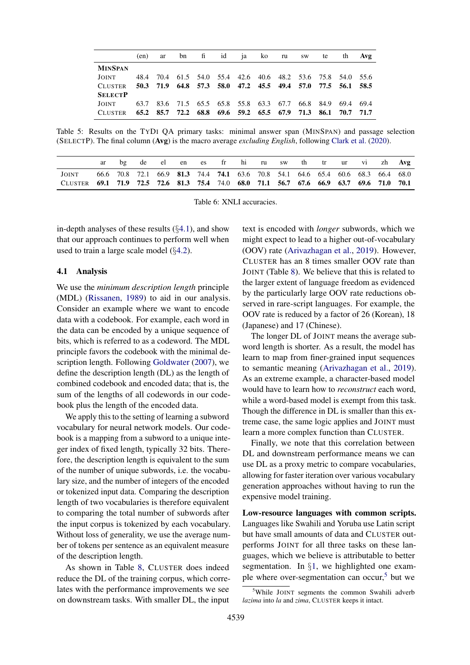<span id="page-3-0"></span>

|                | (en) | ar |  | bn fi id ja ko ru |  | SW | te                                                | th th                                                       | Avg    |
|----------------|------|----|--|-------------------|--|----|---------------------------------------------------|-------------------------------------------------------------|--------|
| <b>MINSPAN</b> |      |    |  |                   |  |    |                                                   |                                                             |        |
| JOINT          | 48.4 |    |  |                   |  |    |                                                   | 70.4 61.5 54.0 55.4 42.6 40.6 48.2 53.6 75.8 54.0 55.6      |        |
| <b>CLUSTER</b> |      |    |  |                   |  |    |                                                   | 50.3 71.9 64.8 57.3 58.0 47.2 45.5 49.4 57.0 77.5 56.1 58.5 |        |
| <b>SELECTP</b> |      |    |  |                   |  |    |                                                   |                                                             |        |
| JOINT          | 63.7 |    |  |                   |  |    |                                                   | 83.6 71.5 65.5 65.8 55.8 63.3 67.7 66.8 84.9 69.4           | - 69.4 |
| <b>CLUSTER</b> |      |    |  |                   |  |    | 65.2 85.7 72.2 68.8 69.6 59.2 65.5 67.9 71.3 86.1 | 70.7 71.7                                                   |        |

Table 5: Results on the TYDI QA primary tasks: minimal answer span (MINSPAN) and passage selection (SELECTP). The final column (Avg) is the macro average *excluding English*, following [Clark et al.](#page-5-5) [\(2020\)](#page-5-5).

<span id="page-3-1"></span>

|                                                                                         |  | de                                                                              | el |  |  |  |  | en es fr hi ru sw th tr ur vi zh Avg |  |  |
|-----------------------------------------------------------------------------------------|--|---------------------------------------------------------------------------------|----|--|--|--|--|--------------------------------------|--|--|
| <b>JOINT</b>                                                                            |  | 66.6 70.8 72.1 66.9 81.3 74.4 74.1 63.6 70.8 54.1 64.6 65.4 60.6 68.3 66.4 68.0 |    |  |  |  |  |                                      |  |  |
| CLUSTER 69.1 71.9 72.5 72.6 81.3 75.4 74.0 68.0 71.1 56.7 67.6 66.9 63.7 69.6 71.0 70.1 |  |                                                                                 |    |  |  |  |  |                                      |  |  |

Table 6: XNLI accuracies.

in-depth analyses of these results  $(\S 4.1)$  $(\S 4.1)$ , and show that our approach continues to perform well when used to train a large scale model (§[4.2\)](#page-4-1).

#### <span id="page-3-2"></span>4.1 Analysis

We use the *minimum description length* principle (MDL) [\(Rissanen,](#page-6-5) [1989\)](#page-6-5) to aid in our analysis. Consider an example where we want to encode data with a codebook. For example, each word in the data can be encoded by a unique sequence of bits, which is referred to as a codeword. The MDL principle favors the codebook with the minimal description length. Following [Goldwater](#page-5-12) [\(2007\)](#page-5-12), we define the description length (DL) as the length of combined codebook and encoded data; that is, the sum of the lengths of all codewords in our codebook plus the length of the encoded data.

We apply this to the setting of learning a subword vocabulary for neural network models. Our codebook is a mapping from a subword to a unique integer index of fixed length, typically 32 bits. Therefore, the description length is equivalent to the sum of the number of unique subwords, i.e. the vocabulary size, and the number of integers of the encoded or tokenized input data. Comparing the description length of two vocabularies is therefore equivalent to comparing the total number of subwords after the input corpus is tokenized by each vocabulary. Without loss of generality, we use the average number of tokens per sentence as an equivalent measure of the description length.

As shown in Table [8,](#page-4-2) CLUSTER does indeed reduce the DL of the training corpus, which correlates with the performance improvements we see on downstream tasks. With smaller DL, the input text is encoded with *longer* subwords, which we might expect to lead to a higher out-of-vocabulary (OOV) rate [\(Arivazhagan et al.,](#page-5-13) [2019\)](#page-5-13). However, CLUSTER has an 8 times smaller OOV rate than JOINT (Table [8\)](#page-4-2). We believe that this is related to the larger extent of language freedom as evidenced by the particularly large OOV rate reductions observed in rare-script languages. For example, the OOV rate is reduced by a factor of 26 (Korean), 18 (Japanese) and 17 (Chinese).

The longer DL of JOINT means the average subword length is shorter. As a result, the model has learn to map from finer-grained input sequences to semantic meaning [\(Arivazhagan et al.,](#page-5-13) [2019\)](#page-5-13). As an extreme example, a character-based model would have to learn how to *reconstruct* each word, while a word-based model is exempt from this task. Though the difference in DL is smaller than this extreme case, the same logic applies and JOINT must learn a more complex function than CLUSTER.

Finally, we note that this correlation between DL and downstream performance means we can use DL as a proxy metric to compare vocabularies, allowing for faster iteration over various vocabulary generation approaches without having to run the expensive model training.

Low-resource languages with common scripts. Languages like Swahili and Yoruba use Latin script but have small amounts of data and CLUSTER outperforms JOINT for all three tasks on these languages, which we believe is attributable to better segmentation. In §[1,](#page-0-2) we highlighted one example where over-segmentation can occur, $5$  but we

<span id="page-3-3"></span><sup>&</sup>lt;sup>5</sup>While JOINT segments the common Swahili adverb *lazima* into *la* and *zima*, CLUSTER keeps it intact.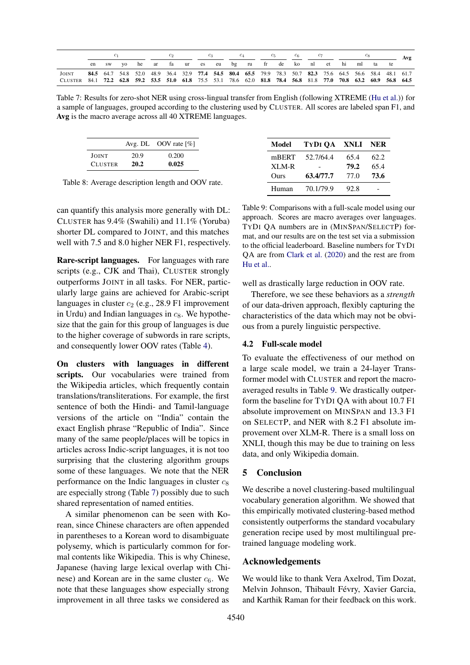<span id="page-4-0"></span>

|                                                                                                                  |       |    |                                                                                                          |  |  |  |  | $c_{5}$ | $c_6$ |  |  |          | Avg |
|------------------------------------------------------------------------------------------------------------------|-------|----|----------------------------------------------------------------------------------------------------------|--|--|--|--|---------|-------|--|--|----------|-----|
|                                                                                                                  | en sw | VQ | he ar fa ur es eu bg ru fr de ko nl et hi                                                                |  |  |  |  |         |       |  |  | ml ta te |     |
| JOINT                                                                                                            |       |    | 84.5 64.7 54.8 52.0 48.9 36.4 32.9 77.4 54.5 80.4 65.5 79.9 78.3 50.7 82.3 75.6 64.5 56.6 58.4 48.1 61.7 |  |  |  |  |         |       |  |  |          |     |
| CLUSTER 84.1 72.2 62.8 59.2 53.5 51.0 61.8 75.5 53.1 78.6 62.0 81.8 78.4 56.8 81.8 77.0 70.8 63.2 60.9 56.8 64.5 |       |    |                                                                                                          |  |  |  |  |         |       |  |  |          |     |

Table 7: Results for zero-shot NER using cross-lingual transfer from English (following XTREME [\(Hu et al.\)](#page-5-14)) for a sample of languages, grouped according to the clustering used by CLUSTER. All scores are labeled span F1, and Avg is the macro average across all 40 XTREME languages.

<span id="page-4-2"></span>

|                |      | Avg. DL OOV rate $[\%]$ |
|----------------|------|-------------------------|
| JOINT          | 20.9 | 0.200                   |
| <b>CLUSTER</b> | 20.2 | 0.025                   |

Table 8: Average description length and OOV rate.

can quantify this analysis more generally with DL: CLUSTER has 9.4% (Swahili) and 11.1% (Yoruba) shorter DL compared to JOINT, and this matches well with 7.5 and 8.0 higher NER F1, respectively.

Rare-script languages. For languages with rare scripts (e.g., CJK and Thai), CLUSTER strongly outperforms JOINT in all tasks. For NER, particularly large gains are achieved for Arabic-script languages in cluster  $c_2$  (e.g., 28.9 F1 improvement in Urdu) and Indian languages in  $c_8$ . We hypothesize that the gain for this group of languages is due to the higher coverage of subwords in rare scripts, and consequently lower OOV rates (Table [4\)](#page-2-2).

On clusters with languages in different scripts. Our vocabularies were trained from the Wikipedia articles, which frequently contain translations/transliterations. For example, the first sentence of both the Hindi- and Tamil-language versions of the article on "India" contain the exact English phrase "Republic of India". Since many of the same people/places will be topics in articles across Indic-script languages, it is not too surprising that the clustering algorithm groups some of these languages. We note that the NER performance on the Indic languages in cluster  $c_8$ are especially strong (Table [7\)](#page-4-0) possibly due to such shared representation of named entities.

A similar phenomenon can be seen with Korean, since Chinese characters are often appended in parentheses to a Korean word to disambiguate polysemy, which is particularly common for formal contents like Wikipedia. This is why Chinese, Japanese (having large lexical overlap with Chinese) and Korean are in the same cluster  $c_6$ . We note that these languages show especially strong improvement in all three tasks we considered as

<span id="page-4-3"></span>

| Model | TYDI OA XNLI |      | NER  |
|-------|--------------|------|------|
| mBERT | 52.7/64.4    | 65.4 | 62.2 |
| XLM-R |              | 79.2 | 65.4 |
| Ours  | 63.4/77.7    | 77.0 | 73.6 |
| Human | 70.1/79.9    | 92.8 |      |

Table 9: Comparisons with a full-scale model using our approach. Scores are macro averages over languages. TYDI QA numbers are in (MINSPAN/SELECTP) format, and our results are on the test set via a submission to the official leaderboard. Baseline numbers for TYDI QA are from [Clark et al.](#page-5-5) [\(2020\)](#page-5-5) and the rest are from [Hu et al..](#page-5-14)

well as drastically large reduction in OOV rate.

Therefore, we see these behaviors as a *strength* of our data-driven approach, flexibly capturing the characteristics of the data which may not be obvious from a purely linguistic perspective.

# <span id="page-4-1"></span>4.2 Full-scale model

To evaluate the effectiveness of our method on a large scale model, we train a 24-layer Transformer model with CLUSTER and report the macroaveraged results in Table [9.](#page-4-3) We drastically outperform the baseline for TYDI QA with about 10.7 F1 absolute improvement on MINSPAN and 13.3 F1 on SELECTP, and NER with 8.2 F1 absolute improvement over XLM-R. There is a small loss on XNLI, though this may be due to training on less data, and only Wikipedia domain.

# 5 Conclusion

We describe a novel clustering-based multilingual vocabulary generation algorithm. We showed that this empirically motivated clustering-based method consistently outperforms the standard vocabulary generation recipe used by most multilingual pretrained language modeling work.

# Acknowledgements

We would like to thank Vera Axelrod, Tim Dozat, Melvin Johnson, Thibault Févry, Xavier Garcia, and Karthik Raman for their feedback on this work.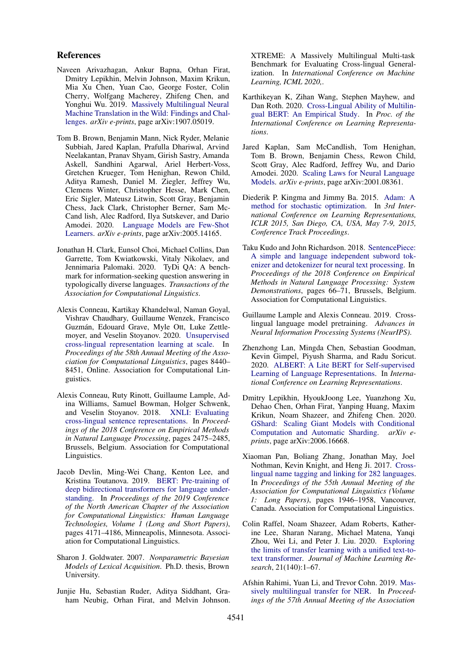#### References

- <span id="page-5-13"></span>Naveen Arivazhagan, Ankur Bapna, Orhan Firat, Dmitry Lepikhin, Melvin Johnson, Maxim Krikun, Mia Xu Chen, Yuan Cao, George Foster, Colin Cherry, Wolfgang Macherey, Zhifeng Chen, and Yonghui Wu. 2019. [Massively Multilingual Neural](http://arxiv.org/abs/1907.05019) [Machine Translation in the Wild: Findings and Chal](http://arxiv.org/abs/1907.05019)[lenges.](http://arxiv.org/abs/1907.05019) *arXiv e-prints*, page arXiv:1907.05019.
- <span id="page-5-11"></span>Tom B. Brown, Benjamin Mann, Nick Ryder, Melanie Subbiah, Jared Kaplan, Prafulla Dhariwal, Arvind Neelakantan, Pranav Shyam, Girish Sastry, Amanda Askell, Sandhini Agarwal, Ariel Herbert-Voss, Gretchen Krueger, Tom Henighan, Rewon Child, Aditya Ramesh, Daniel M. Ziegler, Jeffrey Wu, Clemens Winter, Christopher Hesse, Mark Chen, Eric Sigler, Mateusz Litwin, Scott Gray, Benjamin Chess, Jack Clark, Christopher Berner, Sam Mc-Cand lish, Alec Radford, Ilya Sutskever, and Dario Amodei. 2020. [Language Models are Few-Shot](http://arxiv.org/abs/2005.14165) [Learners.](http://arxiv.org/abs/2005.14165) *arXiv e-prints*, page arXiv:2005.14165.
- <span id="page-5-5"></span>Jonathan H. Clark, Eunsol Choi, Michael Collins, Dan Garrette, Tom Kwiatkowski, Vitaly Nikolaev, and Jennimaria Palomaki. 2020. TyDi QA: A benchmark for information-seeking question answering in typologically diverse languages. *Transactions of the Association for Computational Linguistics*.
- <span id="page-5-2"></span>Alexis Conneau, Kartikay Khandelwal, Naman Goyal, Vishrav Chaudhary, Guillaume Wenzek, Francisco Guzmán, Edouard Grave, Myle Ott, Luke Zettlemoyer, and Veselin Stoyanov. 2020. [Unsupervised](https://doi.org/10.18653/v1/2020.acl-main.747) [cross-lingual representation learning at scale.](https://doi.org/10.18653/v1/2020.acl-main.747) In *Proceedings of the 58th Annual Meeting of the Association for Computational Linguistics*, pages 8440– 8451, Online. Association for Computational Linguistics.
- <span id="page-5-6"></span>Alexis Conneau, Ruty Rinott, Guillaume Lample, Adina Williams, Samuel Bowman, Holger Schwenk, and Veselin Stoyanov. 2018. [XNLI: Evaluating](https://doi.org/10.18653/v1/D18-1269) [cross-lingual sentence representations.](https://doi.org/10.18653/v1/D18-1269) In *Proceedings of the 2018 Conference on Empirical Methods in Natural Language Processing*, pages 2475–2485, Brussels, Belgium. Association for Computational Linguistics.
- <span id="page-5-0"></span>Jacob Devlin, Ming-Wei Chang, Kenton Lee, and Kristina Toutanova. 2019. [BERT: Pre-training of](https://doi.org/10.18653/v1/N19-1423) [deep bidirectional transformers for language under](https://doi.org/10.18653/v1/N19-1423)[standing.](https://doi.org/10.18653/v1/N19-1423) In *Proceedings of the 2019 Conference of the North American Chapter of the Association for Computational Linguistics: Human Language Technologies, Volume 1 (Long and Short Papers)*, pages 4171–4186, Minneapolis, Minnesota. Association for Computational Linguistics.
- <span id="page-5-12"></span>Sharon J. Goldwater. 2007. *Nonparametric Bayesian Models of Lexical Acquisition*. Ph.D. thesis, Brown University.
- <span id="page-5-14"></span>Junjie Hu, Sebastian Ruder, Aditya Siddhant, Graham Neubig, Orhan Firat, and Melvin Johnson.

XTREME: A Massively Multilingual Multi-task Benchmark for Evaluating Cross-lingual Generalization. In *International Conference on Machine Learning, ICML 2020,*.

- <span id="page-5-4"></span>Karthikeyan K, Zihan Wang, Stephen Mayhew, and Dan Roth. 2020. [Cross-Lingual Ability of Multilin](https://cogcomp.seas.upenn.edu/papers/KWMR20.pdf)[gual BERT: An Empirical Study.](https://cogcomp.seas.upenn.edu/papers/KWMR20.pdf) In *Proc. of the International Conference on Learning Representations*.
- <span id="page-5-9"></span>Jared Kaplan, Sam McCandlish, Tom Henighan, Tom B. Brown, Benjamin Chess, Rewon Child, Scott Gray, Alec Radford, Jeffrey Wu, and Dario Amodei. 2020. [Scaling Laws for Neural Language](http://arxiv.org/abs/2001.08361) [Models.](http://arxiv.org/abs/2001.08361) *arXiv e-prints*, page arXiv:2001.08361.
- <span id="page-5-16"></span>Diederik P. Kingma and Jimmy Ba. 2015. [Adam: A](http://arxiv.org/abs/1412.6980) [method for stochastic optimization.](http://arxiv.org/abs/1412.6980) In *3rd International Conference on Learning Representations, ICLR 2015, San Diego, CA, USA, May 7-9, 2015, Conference Track Proceedings*.
- <span id="page-5-3"></span>Taku Kudo and John Richardson. 2018. [SentencePiece:](https://doi.org/10.18653/v1/D18-2012) [A simple and language independent subword tok](https://doi.org/10.18653/v1/D18-2012)[enizer and detokenizer for neural text processing.](https://doi.org/10.18653/v1/D18-2012) In *Proceedings of the 2018 Conference on Empirical Methods in Natural Language Processing: System Demonstrations*, pages 66–71, Brussels, Belgium. Association for Computational Linguistics.
- <span id="page-5-1"></span>Guillaume Lample and Alexis Conneau. 2019. Crosslingual language model pretraining. *Advances in Neural Information Processing Systems (NeurIPS)*.
- <span id="page-5-15"></span>Zhenzhong Lan, Mingda Chen, Sebastian Goodman, Kevin Gimpel, Piyush Sharma, and Radu Soricut. 2020. [ALBERT: A Lite BERT for Self-supervised](https://openreview.net/forum?id=H1eA7AEtvS) [Learning of Language Representations.](https://openreview.net/forum?id=H1eA7AEtvS) In *International Conference on Learning Representations*.
- <span id="page-5-8"></span>Dmitry Lepikhin, HyoukJoong Lee, Yuanzhong Xu, Dehao Chen, Orhan Firat, Yanping Huang, Maxim Krikun, Noam Shazeer, and Zhifeng Chen. 2020. [GShard: Scaling Giant Models with Conditional](http://arxiv.org/abs/2006.16668) [Computation and Automatic Sharding.](http://arxiv.org/abs/2006.16668) *arXiv eprints*, page arXiv:2006.16668.
- <span id="page-5-7"></span>Xiaoman Pan, Boliang Zhang, Jonathan May, Joel Nothman, Kevin Knight, and Heng Ji. 2017. [Cross](https://doi.org/10.18653/v1/P17-1178)[lingual name tagging and linking for 282 languages.](https://doi.org/10.18653/v1/P17-1178) In *Proceedings of the 55th Annual Meeting of the Association for Computational Linguistics (Volume 1: Long Papers)*, pages 1946–1958, Vancouver, Canada. Association for Computational Linguistics.
- <span id="page-5-10"></span>Colin Raffel, Noam Shazeer, Adam Roberts, Katherine Lee, Sharan Narang, Michael Matena, Yanqi Zhou, Wei Li, and Peter J. Liu. 2020. [Exploring](http://jmlr.org/papers/v21/20-074.html) [the limits of transfer learning with a unified text-to](http://jmlr.org/papers/v21/20-074.html)[text transformer.](http://jmlr.org/papers/v21/20-074.html) *Journal of Machine Learning Research*, 21(140):1–67.
- <span id="page-5-17"></span>Afshin Rahimi, Yuan Li, and Trevor Cohn. 2019. [Mas](https://doi.org/10.18653/v1/P19-1015)[sively multilingual transfer for NER.](https://doi.org/10.18653/v1/P19-1015) In *Proceedings of the 57th Annual Meeting of the Association*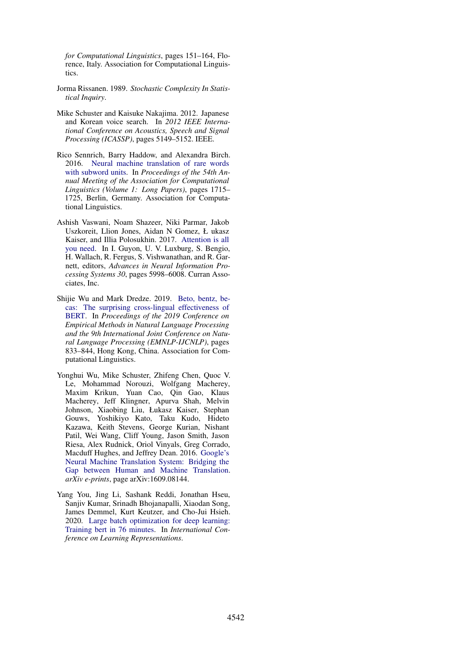*for Computational Linguistics*, pages 151–164, Florence, Italy. Association for Computational Linguistics.

- <span id="page-6-5"></span>Jorma Rissanen. 1989. *Stochastic Complexity In Statistical Inquiry*.
- <span id="page-6-0"></span>Mike Schuster and Kaisuke Nakajima. 2012. Japanese and Korean voice search. In *2012 IEEE International Conference on Acoustics, Speech and Signal Processing (ICASSP)*, pages 5149–5152. IEEE.
- <span id="page-6-2"></span>Rico Sennrich, Barry Haddow, and Alexandra Birch. 2016. [Neural machine translation of rare words](https://doi.org/10.18653/v1/P16-1162) [with subword units.](https://doi.org/10.18653/v1/P16-1162) In *Proceedings of the 54th Annual Meeting of the Association for Computational Linguistics (Volume 1: Long Papers)*, pages 1715– 1725, Berlin, Germany. Association for Computational Linguistics.
- <span id="page-6-4"></span>Ashish Vaswani, Noam Shazeer, Niki Parmar, Jakob Uszkoreit, Llion Jones, Aidan N Gomez, Ł ukasz Kaiser, and Illia Polosukhin. 2017. [Attention is all](http://papers.nips.cc/paper/7181-attention-is-all-you-need.pdf) [you need.](http://papers.nips.cc/paper/7181-attention-is-all-you-need.pdf) In I. Guyon, U. V. Luxburg, S. Bengio, H. Wallach, R. Fergus, S. Vishwanathan, and R. Garnett, editors, *Advances in Neural Information Processing Systems 30*, pages 5998–6008. Curran Associates, Inc.
- <span id="page-6-3"></span>Shijie Wu and Mark Dredze. 2019. [Beto, bentz, be](https://doi.org/10.18653/v1/D19-1077)[cas: The surprising cross-lingual effectiveness of](https://doi.org/10.18653/v1/D19-1077) [BERT.](https://doi.org/10.18653/v1/D19-1077) In *Proceedings of the 2019 Conference on Empirical Methods in Natural Language Processing and the 9th International Joint Conference on Natural Language Processing (EMNLP-IJCNLP)*, pages 833–844, Hong Kong, China. Association for Computational Linguistics.
- <span id="page-6-1"></span>Yonghui Wu, Mike Schuster, Zhifeng Chen, Quoc V. Le, Mohammad Norouzi, Wolfgang Macherey, Maxim Krikun, Yuan Cao, Qin Gao, Klaus Macherey, Jeff Klingner, Apurva Shah, Melvin Johnson, Xiaobing Liu, Łukasz Kaiser, Stephan Gouws, Yoshikiyo Kato, Taku Kudo, Hideto Kazawa, Keith Stevens, George Kurian, Nishant Patil, Wei Wang, Cliff Young, Jason Smith, Jason Riesa, Alex Rudnick, Oriol Vinyals, Greg Corrado, Macduff Hughes, and Jeffrey Dean. 2016. [Google's](http://arxiv.org/abs/1609.08144) [Neural Machine Translation System: Bridging the](http://arxiv.org/abs/1609.08144) [Gap between Human and Machine Translation.](http://arxiv.org/abs/1609.08144) *arXiv e-prints*, page arXiv:1609.08144.
- <span id="page-6-6"></span>Yang You, Jing Li, Sashank Reddi, Jonathan Hseu, Sanjiv Kumar, Srinadh Bhojanapalli, Xiaodan Song, James Demmel, Kurt Keutzer, and Cho-Jui Hsieh. 2020. [Large batch optimization for deep learning:](https://openreview.net/forum?id=Syx4wnEtvH) [Training bert in 76 minutes.](https://openreview.net/forum?id=Syx4wnEtvH) In *International Conference on Learning Representations*.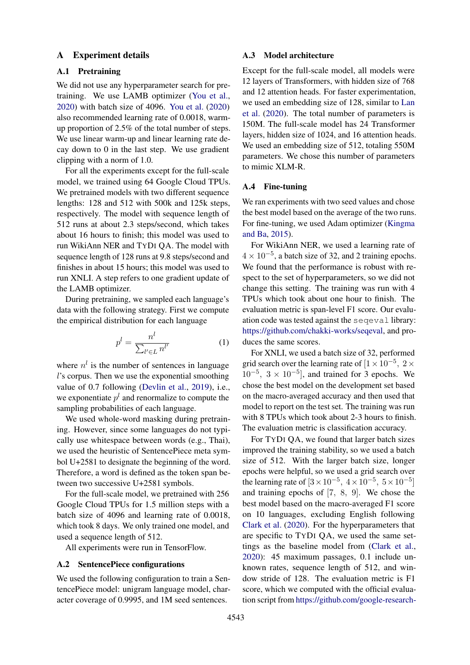#### <span id="page-7-0"></span>A Experiment details

### A.1 Pretraining

We did not use any hyperparameter search for pretraining. We use LAMB optimizer [\(You et al.,](#page-6-6) [2020\)](#page-6-6) with batch size of 4096. [You et al.](#page-6-6) [\(2020\)](#page-6-6) also recommended learning rate of 0.0018, warmup proportion of 2.5% of the total number of steps. We use linear warm-up and linear learning rate decay down to 0 in the last step. We use gradient clipping with a norm of 1.0.

For all the experiments except for the full-scale model, we trained using 64 Google Cloud TPUs. We pretrained models with two different sequence lengths: 128 and 512 with 500k and 125k steps, respectively. The model with sequence length of 512 runs at about 2.3 steps/second, which takes about 16 hours to finish; this model was used to run WikiAnn NER and TYDI QA. The model with sequence length of 128 runs at 9.8 steps/second and finishes in about 15 hours; this model was used to run XNLI. A step refers to one gradient update of the LAMB optimizer.

During pretraining, we sampled each language's data with the following strategy. First we compute the empirical distribution for each language

$$
p^l = \frac{n^l}{\sum_{l' \in L} n^{l'}}\tag{1}
$$

where  $n^l$  is the number of sentences in language l's corpus. Then we use the exponential smoothing value of 0.7 following [\(Devlin et al.,](#page-5-0) [2019\)](#page-5-0), i.e., we exponentiate  $p^{l}$  and renormalize to compute the sampling probabilities of each language.

We used whole-word masking during pretraining. However, since some languages do not typically use whitespace between words (e.g., Thai), we used the heuristic of SentencePiece meta symbol U+2581 to designate the beginning of the word. Therefore, a word is defined as the token span between two successive U+2581 symbols.

For the full-scale model, we pretrained with 256 Google Cloud TPUs for 1.5 million steps with a batch size of 4096 and learning rate of 0.0018, which took 8 days. We only trained one model, and used a sequence length of 512.

All experiments were run in TensorFlow.

#### A.2 SentencePiece configurations

We used the following configuration to train a SentencePiece model: unigram language model, character coverage of 0.9995, and 1M seed sentences.

#### A.3 Model architecture

Except for the full-scale model, all models were 12 layers of Transformers, with hidden size of 768 and 12 attention heads. For faster experimentation, we used an embedding size of 128, similar to [Lan](#page-5-15) [et al.](#page-5-15) [\(2020\)](#page-5-15). The total number of parameters is 150M. The full-scale model has 24 Transformer layers, hidden size of 1024, and 16 attention heads. We used an embedding size of 512, totaling 550M parameters. We chose this number of parameters to mimic XLM-R.

# A.4 Fine-tuning

We ran experiments with two seed values and chose the best model based on the average of the two runs. For fine-tuning, we used Adam optimizer [\(Kingma](#page-5-16) [and Ba,](#page-5-16) [2015\)](#page-5-16).

For WikiAnn NER, we used a learning rate of  $4 \times 10^{-5}$ , a batch size of 32, and 2 training epochs. We found that the performance is robust with respect to the set of hyperparameters, so we did not change this setting. The training was run with 4 TPUs which took about one hour to finish. The evaluation metric is span-level F1 score. Our evaluation code was tested against the seqeval library: [https://github.com/chakki-works/seqeval,](https://github.com/chakki-works/seqeval) and produces the same scores.

For XNLI, we used a batch size of 32, performed grid search over the learning rate of  $[1 \times 10^{-5}, 2 \times$  $10^{-5}$ ,  $3 \times 10^{-5}$ ], and trained for 3 epochs. We chose the best model on the development set based on the macro-averaged accuracy and then used that model to report on the test set. The training was run with 8 TPUs which took about 2-3 hours to finish. The evaluation metric is classification accuracy.

For TYDI QA, we found that larger batch sizes improved the training stability, so we used a batch size of 512. With the larger batch size, longer epochs were helpful, so we used a grid search over the learning rate of  $[3 \times 10^{-5}, 4 \times 10^{-5}, 5 \times 10^{-5}]$ and training epochs of [7, 8, 9]. We chose the best model based on the macro-averaged F1 score on 10 languages, excluding English following [Clark et al.](#page-5-5) [\(2020\)](#page-5-5). For the hyperparameters that are specific to TYDI QA, we used the same settings as the baseline model from [\(Clark et al.,](#page-5-5) [2020\)](#page-5-5): 45 maximum passages, 0.1 include unknown rates, sequence length of 512, and window stride of 128. The evaluation metric is F1 score, which we computed with the official evaluation script from [https://github.com/google-research-](https://github.com/google-research-datasets/tydiqa)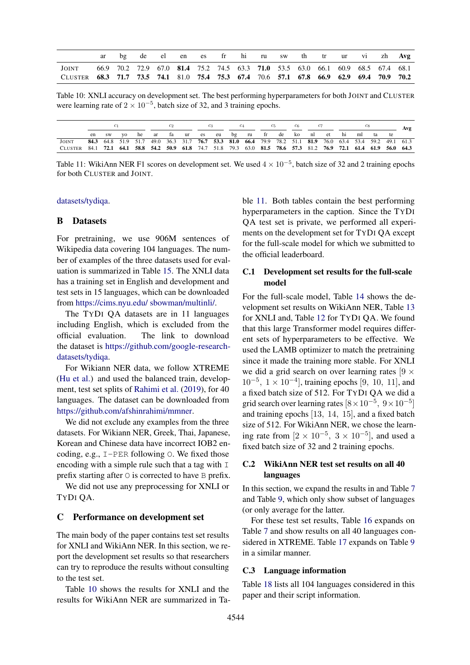<span id="page-8-0"></span>

|                                                                                         |  | de |  |  |  |  |                                                                                 |  | el en es fr hi ru sw th tr ur vi zh Avg |
|-----------------------------------------------------------------------------------------|--|----|--|--|--|--|---------------------------------------------------------------------------------|--|-----------------------------------------|
| <b>JOINT</b>                                                                            |  |    |  |  |  |  | 66.9 70.2 72.9 67.0 81.4 75.2 74.5 63.3 71.0 53.5 63.0 66.1 60.9 68.5 67.4 68.1 |  |                                         |
| CLUSTER 68.3 71.7 73.5 74.1 81.0 75.4 75.3 67.4 70.6 57.1 67.8 66.9 62.9 69.4 70.9 70.2 |  |    |  |  |  |  |                                                                                 |  |                                         |

Table 10: XNLI accuracy on development set. The best performing hyperparameters for both JOINT and CLUSTER were learning rate of  $2 \times 10^{-5}$ , batch size of 32, and 3 training epochs.

<span id="page-8-1"></span>

|                                                                                                                  |  |       |    |  |  |  | $c_6$ |  |  |  | Avg |                                                                                                          |    |  |
|------------------------------------------------------------------------------------------------------------------|--|-------|----|--|--|--|-------|--|--|--|-----|----------------------------------------------------------------------------------------------------------|----|--|
|                                                                                                                  |  | en sw | VQ |  |  |  |       |  |  |  |     | he ar fa ur es eu bg ru fr de ko nl et hi ml ta                                                          | te |  |
| <b>JOINT</b>                                                                                                     |  |       |    |  |  |  |       |  |  |  |     | 84.3 64.8 51.9 51.7 49.0 36.3 31.7 76.7 53.3 81.0 66.4 79.9 78.2 51.1 81.9 76.0 63.4 53.4 59.2 49.1 61.3 |    |  |
| CLUSTER 84.1 72.1 64.1 58.8 54.2 50.9 61.8 74.7 51.8 79.3 63.0 81.5 78.6 57.3 81.2 76.9 72.1 61.4 61.9 56.0 64.3 |  |       |    |  |  |  |       |  |  |  |     |                                                                                                          |    |  |

Table 11: WikiAnn NER F1 scores on development set. We used  $4 \times 10^{-5}$ , batch size of 32 and 2 training epochs for both CLUSTER and JOINT.

#### [datasets/tydiqa.](https://github.com/google-research-datasets/tydiqa)

# B Datasets

For pretraining, we use 906M sentences of Wikipedia data covering 104 languages. The number of examples of the three datasets used for evaluation is summarized in Table [15.](#page-9-0) The XNLI data has a training set in English and development and test sets in 15 languages, which can be downloaded from [https://cims.nyu.edu/ sbowman/multinli/.](https://cims.nyu.edu/~sbowman/multinli/)

The TYDI QA datasets are in 11 languages including English, which is excluded from the official evaluation. The link to download the dataset is [https://github.com/google-research](https://github.com/google-research-datasets/tydiqa#download-the-dataset)[datasets/tydiqa.](https://github.com/google-research-datasets/tydiqa#download-the-dataset)

For Wikiann NER data, we follow XTREME [\(Hu et al.\)](#page-5-14) and used the balanced train, development, test set splits of [Rahimi et al.](#page-5-17) [\(2019\)](#page-5-17), for 40 languages. The dataset can be downloaded from [https://github.com/afshinrahimi/mmner.](https://github.com/afshinrahimi/mmner)

We did not exclude any examples from the three datasets. For Wikiann NER, Greek, Thai, Japanese, Korean and Chinese data have incorrect IOB2 encoding, e.g.,  $I-PER$  following  $O$ . We fixed those encoding with a simple rule such that a tag with  $I$ prefix starting after  $\circ$  is corrected to have  $\circ$  prefix.

We did not use any preprocessing for XNLI or TYDI QA.

#### C Performance on development set

The main body of the paper contains test set results for XNLI and WikiAnn NER. In this section, we report the development set results so that researchers can try to reproduce the results without consulting to the test set.

Table [10](#page-8-0) shows the results for XNLI and the results for WikiAnn NER are summarized in Table [11.](#page-8-1) Both tables contain the best performing hyperparameters in the caption. Since the TYDI QA test set is private, we performed all experiments on the development set for TYDI QA except for the full-scale model for which we submitted to the official leaderboard.

# C.1 Development set results for the full-scale model

For the full-scale model, Table [14](#page-9-1) shows the development set results on WikiAnn NER, Table [13](#page-9-2) for XNLI and, Table [12](#page-9-3) for TYDI QA. We found that this large Transformer model requires different sets of hyperparameters to be effective. We used the LAMB optimizer to match the pretraining since it made the training more stable. For XNLI we did a grid search on over learning rates  $[9 \times$  $10^{-5}$ ,  $1 \times 10^{-4}$ ], training epochs [9, 10, 11], and a fixed batch size of 512. For TYDI QA we did a grid search over learning rates  $[8 \times 10^{-5}, 9 \times 10^{-5}]$ and training epochs [13, 14, 15], and a fixed batch size of 512. For WikiAnn NER, we chose the learning rate from  $[2 \times 10^{-5}, 3 \times 10^{-5}]$ , and used a fixed batch size of 32 and 2 training epochs.

# C.2 WikiAnn NER test set results on all 40 languages

In this section, we expand the results in and Table [7](#page-4-0) and Table [9,](#page-4-3) which only show subset of languages (or only average for the latter.

For these test set results, Table [16](#page-9-4) expands on Table [7](#page-4-0) and show results on all 40 languages considered in XTREME. Table [17](#page-9-5) expands on Table [9](#page-4-3) in a similar manner.

#### C.3 Language information

Table [18](#page-10-0) lists all 104 languages considered in this paper and their script information.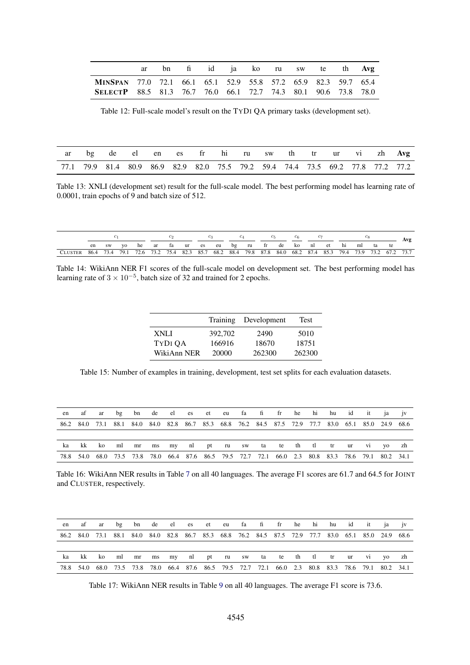<span id="page-9-3"></span>

|                                                                       |  | ar bn fi id ja ko ru sw te th Avg |  |  |  |  |
|-----------------------------------------------------------------------|--|-----------------------------------|--|--|--|--|
| MINSPAN 77.0 72.1 66.1 65.1 52.9 55.8 57.2 65.9 82.3 59.7 65.4        |  |                                   |  |  |  |  |
| <b>SELECTP</b> 88.5 81.3 76.7 76.0 66.1 72.7 74.3 80.1 90.6 73.8 78.0 |  |                                   |  |  |  |  |

Table 12: Full-scale model's result on the TYDI QA primary tasks (development set).

<span id="page-9-2"></span>

|  |  |  |  |  |  |  | ar bg de el en es fr hi ru sw th tr ur vi zh Avg                                |
|--|--|--|--|--|--|--|---------------------------------------------------------------------------------|
|  |  |  |  |  |  |  | 77.1 79.9 81.4 80.9 86.9 82.9 82.0 75.5 79.2 59.4 74.4 73.5 69.2 77.8 77.2 77.2 |

Table 13: XNLI (development set) result for the full-scale model. The best performing model has learning rate of 0.0001, train epochs of 9 and batch size of 512.

<span id="page-9-1"></span>

|                                                                                                                  |  |  |  |  |  |  |  |  |  | C6. |  |  |                                                         |  |  |  |  |    |  |
|------------------------------------------------------------------------------------------------------------------|--|--|--|--|--|--|--|--|--|-----|--|--|---------------------------------------------------------|--|--|--|--|----|--|
|                                                                                                                  |  |  |  |  |  |  |  |  |  |     |  |  | en swyo he ar fa ur es eu bg ru fr de ko nl et hi ml ta |  |  |  |  | te |  |
| CLUSTER 86.4 73.4 79.1 72.6 73.2 75.4 82.3 85.7 68.2 88.4 79.8 87.8 84.0 68.2 87.4 85.3 79.4 73.9 73.2 67.2 73.7 |  |  |  |  |  |  |  |  |  |     |  |  |                                                         |  |  |  |  |    |  |

<span id="page-9-0"></span>Table 14: WikiAnn NER F1 scores of the full-scale model on development set. The best performing model has learning rate of  $3 \times 10^{-5}$ , batch size of 32 and trained for 2 epochs.

|             | Training | Development | Test   |
|-------------|----------|-------------|--------|
| XNLI        | 392,702  | 2490        | 5010   |
| TYDI QA     | 166916   | 18670       | 18751  |
| WikiAnn NER | 20000    | 262300      | 262300 |

Table 15: Number of examples in training, development, test set splits for each evaluation datasets.

<span id="page-9-4"></span>

|  |  |  |  |  |  | en af ar bg bn de el es et eu fa fi fr he hi hu id it ja jv                                         |  |  |  |  |
|--|--|--|--|--|--|-----------------------------------------------------------------------------------------------------|--|--|--|--|
|  |  |  |  |  |  | 86.2 84.0 73.1 88.1 84.0 84.0 82.8 86.7 85.3 68.8 76.2 84.5 87.5 72.9 77.7 83.0 65.1 85.0 24.9 68.6 |  |  |  |  |
|  |  |  |  |  |  |                                                                                                     |  |  |  |  |
|  |  |  |  |  |  | ka kk koml mr ms my nl pt ru sw ta te th tl tr ur vi yo zh                                          |  |  |  |  |
|  |  |  |  |  |  | 78.8 54.0 68.0 73.5 73.8 78.0 66.4 87.6 86.5 79.5 72.7 72.1 66.0 2.3 80.8 83.3 78.6 79.1 80.2 34.1  |  |  |  |  |

Table 16: WikiAnn NER results in Table [7](#page-4-0) on all 40 languages. The average F1 scores are 61.7 and 64.5 for JOINT and CLUSTER, respectively.

<span id="page-9-5"></span>

| en |  |  |  |  |  | af ar bg bn de el es et eu fa fi fr he hi hu id it ja jv                                            |  |  |  |  |
|----|--|--|--|--|--|-----------------------------------------------------------------------------------------------------|--|--|--|--|
|    |  |  |  |  |  | 86.2 84.0 73.1 88.1 84.0 84.0 82.8 86.7 85.3 68.8 76.2 84.5 87.5 72.9 77.7 83.0 65.1 85.0 24.9 68.6 |  |  |  |  |
|    |  |  |  |  |  |                                                                                                     |  |  |  |  |
| ka |  |  |  |  |  | kk komlmrns mynlpt rusw ta te thitlitr ur vi yozh                                                   |  |  |  |  |
|    |  |  |  |  |  | 78.8 54.0 68.0 73.5 73.8 78.0 66.4 87.6 86.5 79.5 72.7 72.1 66.0 2.3 80.8 83.3 78.6 79.1 80.2 34.1  |  |  |  |  |

Table 17: WikiAnn NER results in Table [9](#page-4-3) on all 40 languages. The average F1 score is 73.6.